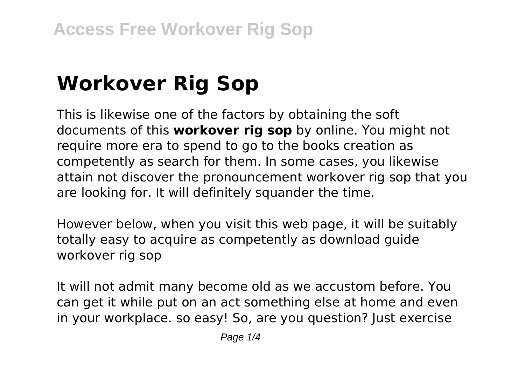# **Workover Rig Sop**

This is likewise one of the factors by obtaining the soft documents of this **workover rig sop** by online. You might not require more era to spend to go to the books creation as competently as search for them. In some cases, you likewise attain not discover the pronouncement workover rig sop that you are looking for. It will definitely squander the time.

However below, when you visit this web page, it will be suitably totally easy to acquire as competently as download guide workover rig sop

It will not admit many become old as we accustom before. You can get it while put on an act something else at home and even in your workplace. so easy! So, are you question? Just exercise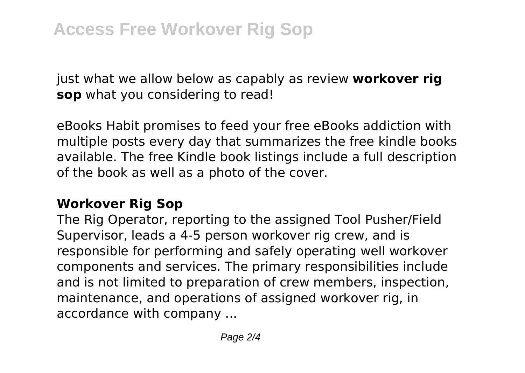just what we allow below as capably as review **workover rig sop** what you considering to read!

eBooks Habit promises to feed your free eBooks addiction with multiple posts every day that summarizes the free kindle books available. The free Kindle book listings include a full description of the book as well as a photo of the cover.

#### **Workover Rig Sop**

The Rig Operator, reporting to the assigned Tool Pusher/Field Supervisor, leads a 4-5 person workover rig crew, and is responsible for performing and safely operating well workover components and services. The primary responsibilities include and is not limited to preparation of crew members, inspection, maintenance, and operations of assigned workover rig, in accordance with company ...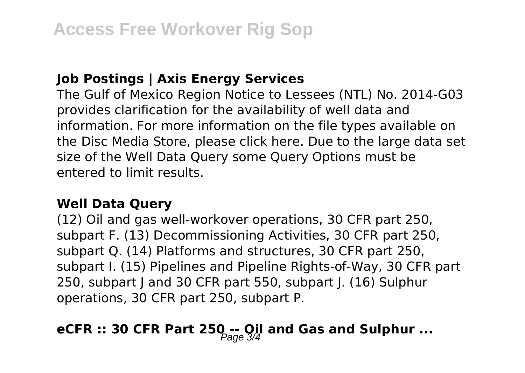#### **Job Postings | Axis Energy Services**

The Gulf of Mexico Region Notice to Lessees (NTL) No. 2014-G03 provides clarification for the availability of well data and information. For more information on the file types available on the Disc Media Store, please click here. Due to the large data set size of the Well Data Query some Query Options must be entered to limit results.

#### **Well Data Query**

(12) Oil and gas well-workover operations, 30 CFR part 250, subpart F. (13) Decommissioning Activities, 30 CFR part 250, subpart Q. (14) Platforms and structures, 30 CFR part 250, subpart I. (15) Pipelines and Pipeline Rights-of-Way, 30 CFR part 250, subpart J and 30 CFR part 550, subpart J. (16) Sulphur operations, 30 CFR part 250, subpart P.

## **eCFR :: 30 CFR Part 250 -- Oil and Gas and Sulphur ...**